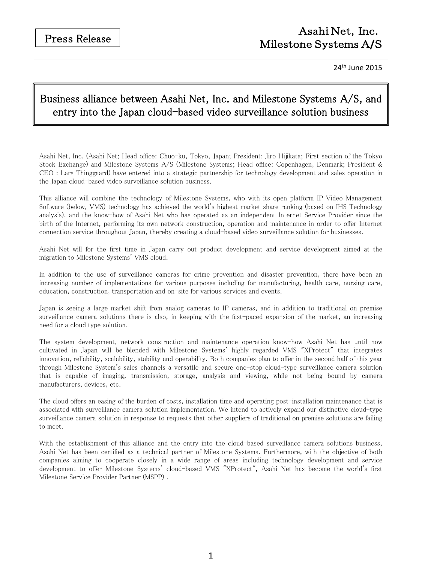# Asahi Net, Inc. Milestone Systems A**/**S

24th June 2015

# Business alliance between Asahi Net, Inc. and Milestone Systems A/S, and entry into the Japan cloud-based video surveillance solution business

Asahi Net, Inc. (Asahi Net; Head office: Chuo-ku, Tokyo, Japan; President: Jiro Hijikata; First section of the Tokyo Stock Exchange) and Milestone Systems A/S (Milestone Systems; Head office: Copenhagen, Denmark; President & CEO : Lars Thinggaard) have entered into a strategic partnership for technology development and sales operation in the Japan cloud-based video surveillance solution business.

This alliance will combine the technology of Milestone Systems, who with its open platform IP Video Management Software (below, VMS) technology has achieved the world's highest market share ranking (based on IHS Technology analysis), and the know-how of Asahi Net who has operated as an independent Internet Service Provider since the birth of the Internet, performing its own network construction, operation and maintenance in order to offer Internet connection service throughout Japan, thereby creating a cloud-based video surveillance solution for businesses.

Asahi Net will for the first time in Japan carry out product development and service development aimed at the migration to Milestone Systems' VMS cloud.

In addition to the use of surveillance cameras for crime prevention and disaster prevention, there have been an increasing number of implementations for various purposes including for manufacturing, health care, nursing care, education, construction, transportation and on-site for various services and events.

Japan is seeing a large market shift from analog cameras to IP cameras, and in addition to traditional on premise surveillance camera solutions there is also, in keeping with the fast-paced expansion of the market, an increasing need for a cloud type solution.

The system development, network construction and maintenance operation know-how Asahi Net has until now cultivated in Japan will be blended with Milestone Systems' highly regarded VMS "XProtect" that integrates innovation, reliability, scalability, stability and operability. Both companies plan to offer in the second half of this year through Milestone System's sales channels a versatile and secure one-stop cloud-type surveillance camera solution that is capable of imaging, transmission, storage, analysis and viewing, while not being bound by camera manufacturers, devices, etc.

The cloud offers an easing of the burden of costs, installation time and operating post-installation maintenance that is associated with surveillance camera solution implementation. We intend to actively expand our distinctive cloud-type surveillance camera solution in response to requests that other suppliers of traditional on premise solutions are failing to meet.

With the establishment of this alliance and the entry into the cloud-based surveillance camera solutions business, Asahi Net has been certified as a technical partner of Milestone Systems. Furthermore, with the objective of both companies aiming to cooperate closely in a wide range of areas including technology development and service development to offer Milestone Systems' cloud-based VMS "XProtect", Asahi Net has become the world's first Milestone Service Provider Partner (MSPP) .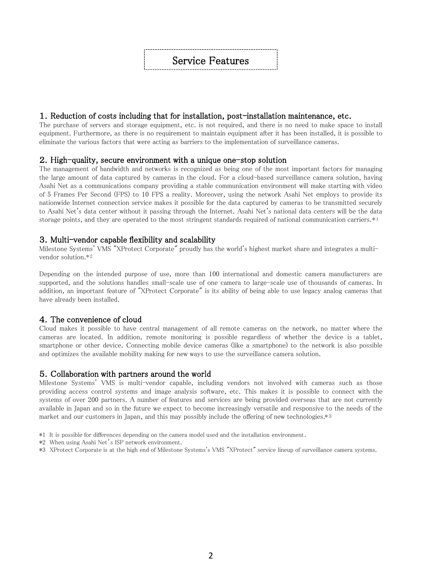# Service Features

#### 1. Reduction of costs including that for installation, post-installation maintenance, etc.

The purchase of servers and storage equipment, etc. is not required, and there is no need to make space to install equipment. Furthermore, as there is no requirement to maintain equipment after it has been installed, it is possible to eliminate the various factors that were acting as barriers to the implementation of surveillance cameras.

#### 2.High-quality, secure environment with a unique one-stop solution

The management of bandwidth and networks is recognized as being one of the most important factors for managing the large amount of data captured by cameras in the cloud. For a cloud-based surveillance camera solution, having Asahi Net as a communications company providing a stable communication environment will make starting with video of 5 Frames Per Second (FPS) to 10 FPS a reality. Moreover, using the network Asahi Net employs to provide its nationwide Internet connection service makes it possible for the data captured by cameras to be transmitted securely to Asahi Net's data center without it passing through the Internet. Asahi Net's national data centers will be the data storage points, and they are operated to the most stringent standards required of national communication carriers.\*1

#### 3.Multi-vendor capable flexibility and scalability

Milestone Systems' VMS "XProtect Corporate" proudly has the world's highest market share and integrates a multivendor solution. \*2

Depending on the intended purpose of use, more than 100 international and domestic camera manufacturers are supported, and the solutions handles small-scale use of one camera to large-scale use of thousands of cameras. In addition, an important feature of "XProtect Corporate" is its ability of being able to use legacy analog cameras that have already been installed.

#### 4.The convenience of cloud

Cloud makes it possible to have central management of all remote cameras on the network, no matter where the cameras are located. In addition, remote monitoring is possible regardless of whether the device is a tablet, smartphone or other device. Connecting mobile device cameras (like a smartphone) to the network is also possible and optimizes the available mobility making for new ways to use the surveillance camera solution.

#### 5.Collaboration with partners around the world

Milestone Systems' VMS is multi-vendor capable, including vendors not involved with cameras such as those providing access control systems and image analysis software, etc. This makes it is possible to connect with the systems of over 200 partners. A number of features and services are being provided overseas that are not currently available in Japan and so in the future we expect to become increasingly versatile and responsive to the needs of the market and our customers in Japan, and this may possibly include the offering of new technologies.\*3

- \*1 It is possible for differences depending on the camera model used and the installation environment.
- \*2 When using Asahi Net's ISP network environment.
- \*3 XProtect Corporate is at the high end of Milestone Systems's VMS "XProtect" service lineup of surveillance camera systems.